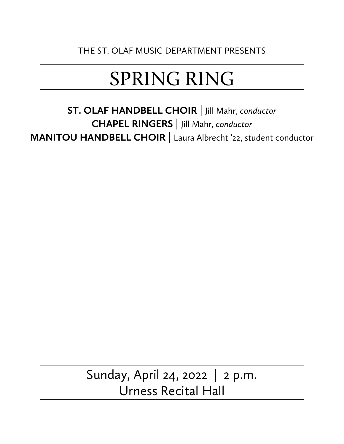# SPRING RING

**ST. OLAF HANDBELL CHOIR** | Jill Mahr, *conductor* **CHAPEL RINGERS** | Jill Mahr, *conductor* **MANITOU HANDBELL CHOIR** | Laura Albrecht '22, student conductor

> Sunday, April 24, 2022 | 2 p.m. Urness Recital Hall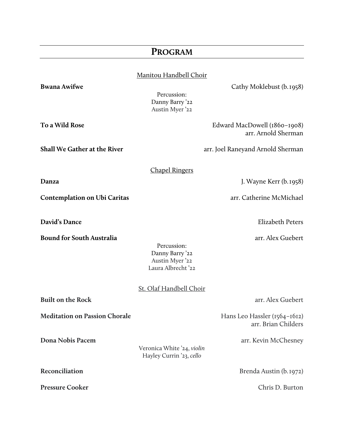## **PROGRAM**

#### Manitou Handbell Choir

**Bwana Awifwe** Cathy Moklebust (b.1958) Percussion: Danny Barry '22 Austin Myer '22 To a Wild Rose **Edward MacDowell** (1860–1908) arr. Arnold Sherman **Shall We Gather at the River arrest arrest arrest arrest arrest arrest arrest arrest arrest arrest arrest arrest arrest arrest arrest arrest arrest arrest arrest arrest arrest arrest arrest arrest arrest arrest arrest a** Chapel Ringers **Danza** J. Wayne Kerr (b.1958) **Contemplation on Ubi Caritas** *arr.* **Catherine McMichael David's Dance** Elizabeth Peters **Bound for South Australia** and **Bound for South Australia** arr. Alex Guebert Percussion: Danny Barry '22 Austin Myer '22 Laura Albrecht '22 St. Olaf Handbell Choir **Built on the Rock** arr. Alex Guebert **Meditation on Passion Chorale** Hans Leo Hassler (1564–1612) arr. Brian Childers **Dona Nobis Pacem arr.** Kevin McChesney Veronica White '24, *violin* Hayley Currin '23, *cello* **Reconciliation** Brenda Austin (b.1972) **Pressure Cooker** Cooker **Cooker** Chris D. Burton